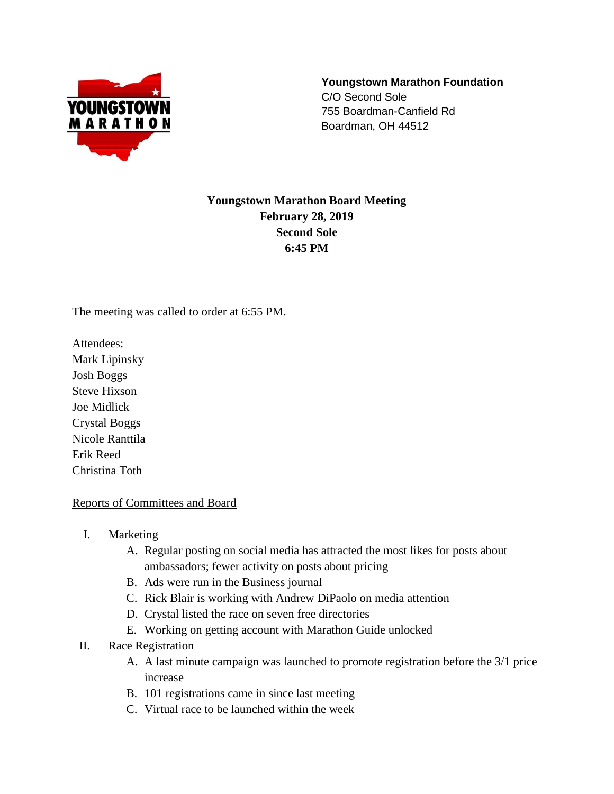

**Youngstown Marathon Foundation** C/O Second Sole 755 Boardman-Canfield Rd Boardman, OH 44512

# **Youngstown Marathon Board Meeting February 28, 2019 Second Sole 6:45 PM**

The meeting was called to order at 6:55 PM.

Attendees:

Mark Lipinsky Josh Boggs Steve Hixson Joe Midlick Crystal Boggs Nicole Ranttila Erik Reed Christina Toth

### Reports of Committees and Board

- I. Marketing
	- A. Regular posting on social media has attracted the most likes for posts about ambassadors; fewer activity on posts about pricing
	- B. Ads were run in the Business journal
	- C. Rick Blair is working with Andrew DiPaolo on media attention
	- D. Crystal listed the race on seven free directories
	- E. Working on getting account with Marathon Guide unlocked
- II. Race Registration
	- A. A last minute campaign was launched to promote registration before the 3/1 price increase
	- B. 101 registrations came in since last meeting
	- C. Virtual race to be launched within the week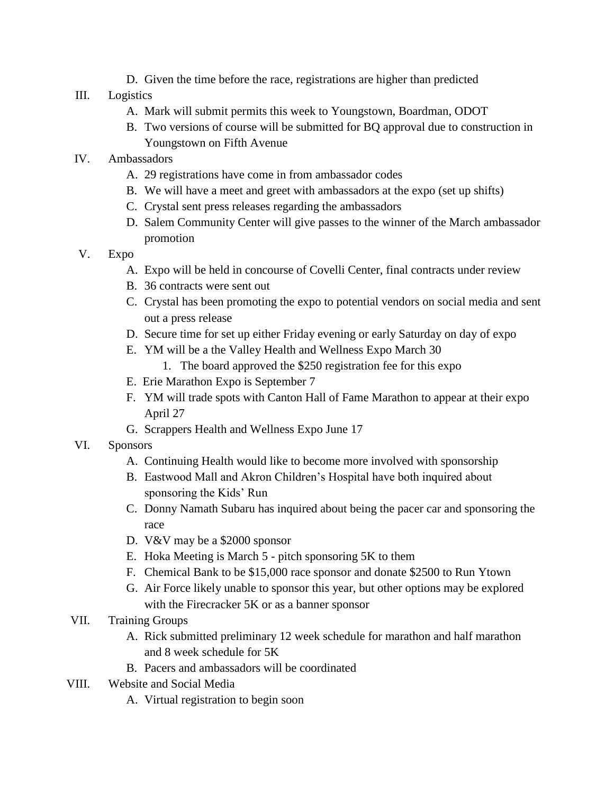D. Given the time before the race, registrations are higher than predicted

## III. Logistics

- A. Mark will submit permits this week to Youngstown, Boardman, ODOT
- B. Two versions of course will be submitted for BQ approval due to construction in Youngstown on Fifth Avenue
- IV. Ambassadors
	- A. 29 registrations have come in from ambassador codes
	- B. We will have a meet and greet with ambassadors at the expo (set up shifts)
	- C. Crystal sent press releases regarding the ambassadors
	- D. Salem Community Center will give passes to the winner of the March ambassador promotion
- V. Expo
	- A. Expo will be held in concourse of Covelli Center, final contracts under review
	- B. 36 contracts were sent out
	- C. Crystal has been promoting the expo to potential vendors on social media and sent out a press release
	- D. Secure time for set up either Friday evening or early Saturday on day of expo
	- E. YM will be a the Valley Health and Wellness Expo March 30
		- 1. The board approved the \$250 registration fee for this expo
	- E. Erie Marathon Expo is September 7
	- F. YM will trade spots with Canton Hall of Fame Marathon to appear at their expo April 27
	- G. Scrappers Health and Wellness Expo June 17
- VI. Sponsors
	- A. Continuing Health would like to become more involved with sponsorship
	- B. Eastwood Mall and Akron Children's Hospital have both inquired about sponsoring the Kids' Run
	- C. Donny Namath Subaru has inquired about being the pacer car and sponsoring the race
	- D. V&V may be a \$2000 sponsor
	- E. Hoka Meeting is March 5 pitch sponsoring 5K to them
	- F. Chemical Bank to be \$15,000 race sponsor and donate \$2500 to Run Ytown
	- G. Air Force likely unable to sponsor this year, but other options may be explored with the Firecracker 5K or as a banner sponsor
- VII. Training Groups
	- A. Rick submitted preliminary 12 week schedule for marathon and half marathon and 8 week schedule for 5K
	- B. Pacers and ambassadors will be coordinated
- VIII. Website and Social Media
	- A. Virtual registration to begin soon